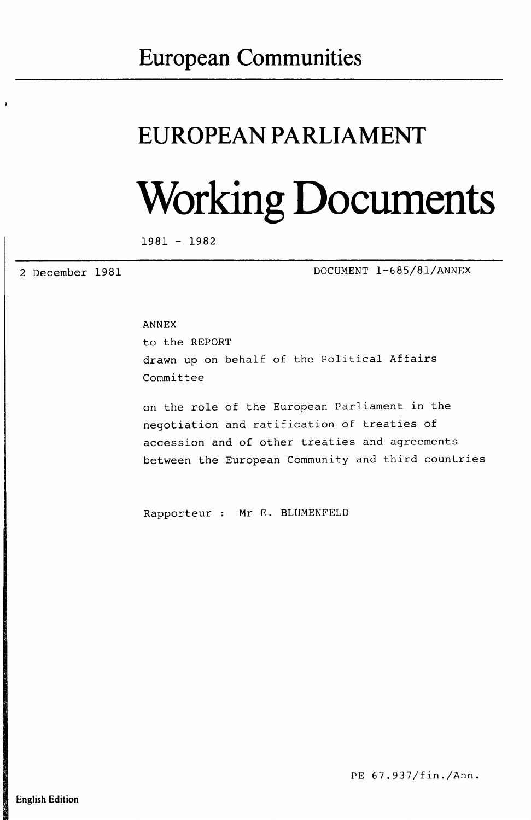# European Communities

# EUROPEAN PARLIAMENT

# Working Documents

 $1981 - 1982$ 

2 December 1981 DOCUMENT 1-685/81/ANNEX

#### ANNEX

to thc REPORT drawn up on behalf of the Political Affairs Committee

on the role of the European Parliament in the negotiation and ratification of treaties of accession and of other treaties and agreements between the European Community and third countries

Rapporteur : Mr E. BLUMENFELD

PE 67.937/fin./Ann.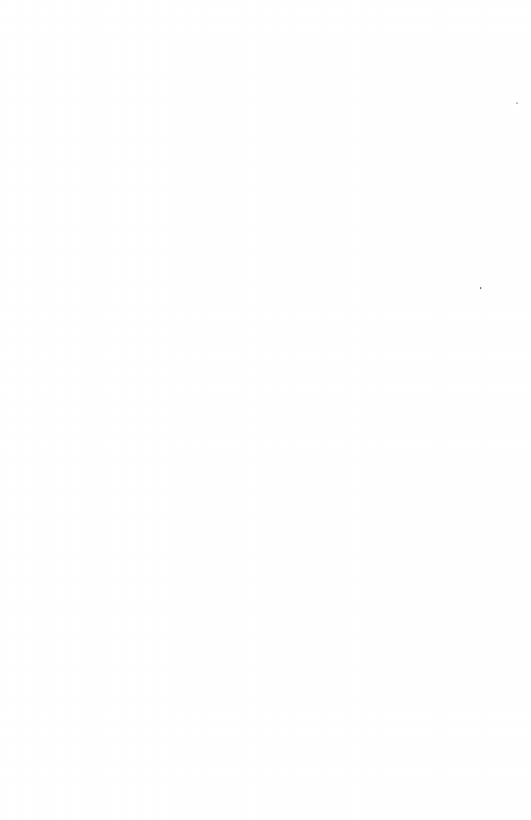$\mathcal{A}^{\mathcal{A}}$  $\sigma_{\rm{max}}$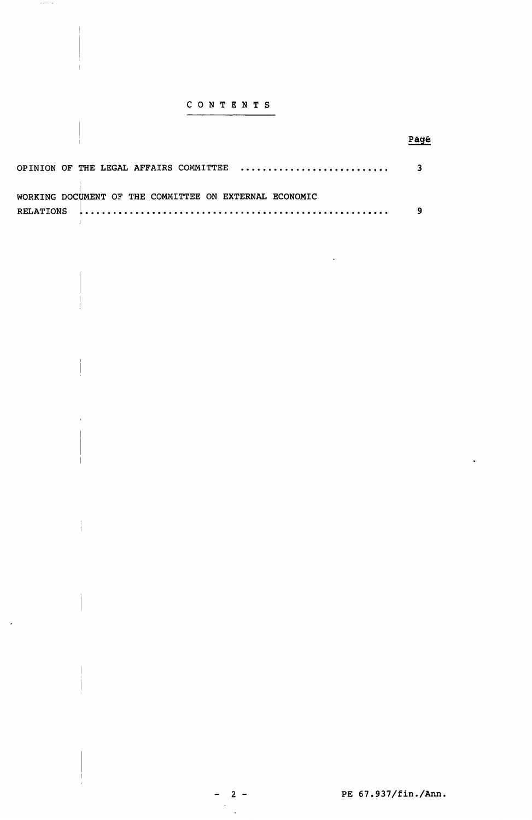#### CONTENTS

 $\overline{\phantom{a}}$  .

 $\bar{1}$ 

 $\frac{1}{1}$ 

 $\ddot{\phantom{a}}$ 

| OPINION OF THE LEGAL AFFAIRS COMMITTEE $\ldots \ldots \ldots \ldots \ldots \ldots \ldots \ldots$ |  |  |  |  |  |  |  |  |  |
|--------------------------------------------------------------------------------------------------|--|--|--|--|--|--|--|--|--|
| WORKING DOCUMENT OF THE COMMITTEE ON EXTERNAL ECONOMIC                                           |  |  |  |  |  |  |  |  |  |

 $-2 \mathcal{L}$ 

Page

 $\ddot{\phantom{a}}$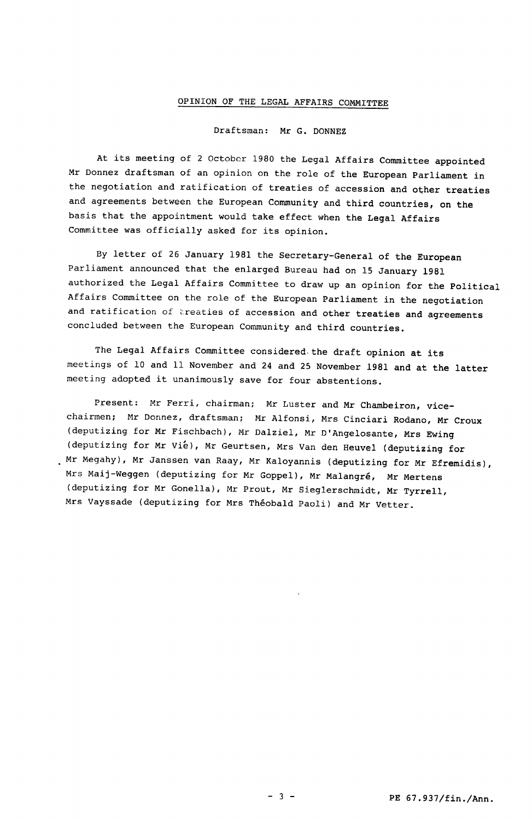#### OPINION OF THE LEGAI AFFAIRS COMMITTEE

Draftsman: Mr G. DONNEZ

At its meeting of 2 October 1980 the Legal Affairs Committee appointed Mr Donnez draftsman of an opinion on the role of the European parliament in the negotiation and ratification of treaties of accession and other treaties and agreements between the European Community and third countries, on the basis that the appointment would take effect when the Lega1 Affairs Committee was officially asked for its opinion.

By letter of 26 January 1981 the Secretary-General of the European Parliament announced that the enlarged Bureau had on 15 January IggI authorized the Lega1 Affairs Committee to draw up an opinion for the political Affairs Committee on the role of the European Parliament in the negotiation and ratification of treaties of accession and other treaties and agreements concluded between the European community and third countries.

The Legal Affairs Committee considered. the draft opinion at its meetings of 10 and 11 November and 24 and 25 November 1981 and at the latter meeting adopted it unanimously save for four abstentions.

Present: Mr Ferri, chairman; Mr Luster and Mr Chambeiron, vice-<br>chairmen; Mr Donnez, draftsman; Mr Alfonsi, Mrs Cinciari Rodano, Mr Croux (deputizing for Mr Fischbach), Mr Dalziel, Mr D'Angelosante, Mrs Ewing (deputizing for Mr Vi6), Mr Geurtsen, Mrs Van den Heuvel (deputizing for . Mr Megahy), Mr Janssen van Raay, Mr Kaloyannis (deputizing for Mr Efremidis), Mrs Maij-Weggen (deputizing for Mr Goppel), Mr Malangré, Mr Mertens (deputizing for Mr Gonella), Mr Prout, Mr Sieglerschmidt, Mr Tyrrell, Mrs Vayssade (deputizing for Mrs Théobald Paoli) and Mr Vetter.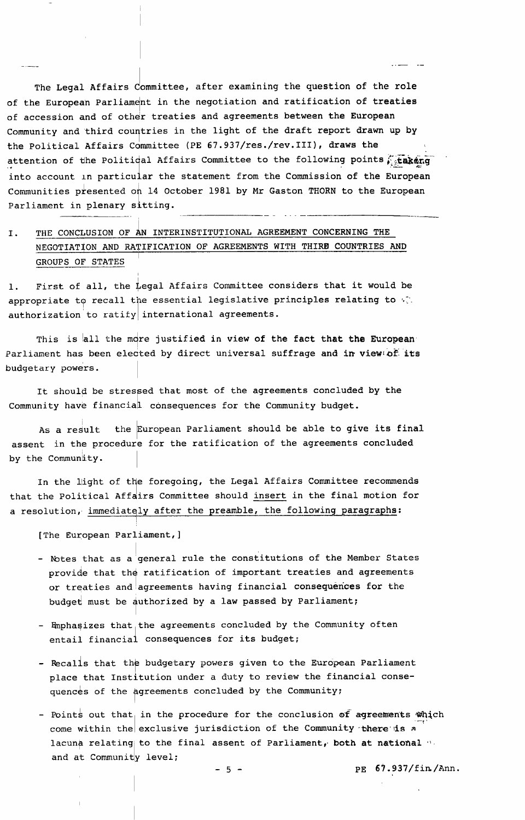The Legal Affairs Committee, after examining the question of the role of the European Parliament in the negotiation and ratification of treaties of accession and of other treaties and agreements between the European Community and third countries in the light of the draft report drawn up by the Political Affairs Committee (PE 67.937/res./rev.III), draws the attention of the Political Affairs Committee to the following points, takeng into account in particular the statement from the Commission of the European Communities presented on 14 October 1981 by Mr Gaston THORN to the European Parliament in plenary sitting.

#### THE CONCLUSION OF AN INTERINSTITUTIONAL AGREEMENT CONCERNING THE  $I.$ NEGOTIATION AND RATIFICATION OF AGREEMENTS WITH THIRD COUNTRIES AND GROUPS OF STATES

First of all, the Legal Affairs Committee considers that it would be  $\mathbf{1}$ . appropriate to recall the essential legislative principles relating to  $\sqrt{2}$ . authorization to ratify international agreements.

This is all the more justified in view of the fact that the European Parliament has been elected by direct universal suffrage and in view of its budgetary powers.

It should be stressed that most of the agreements concluded by the Community have financial consequences for the Community budget.

As a result the European Parliament should be able to give its final assent in the procedure for the ratification of the agreements concluded by the Community.

In the light of the foregoing, the Legal Affairs Committee recommends that the Political Affairs Committee should insert in the final motion for a resolution, immediately after the preamble, the following paragraphs:

[The European Parliament,]

- Notes that as a general rule the constitutions of the Member States provide that the ratification of important treaties and agreements or treaties and agreements having financial consequences for the budget must be authorized by a law passed by Parliament;
- Emphasizes that the agreements concluded by the Community often entail financial consequences for its budget;
- Recalls that the budgetary powers given to the European Parliament place that Institution under a duty to review the financial consequences of the agreements concluded by the Community;
- Points out that in the procedure for the conclusion of agreements which come within the exclusive jurisdiction of the Community there is a lacuna relating to the final assent of Parliament, both at national ". and at Community level;

 $-5 -$ 

PE 67.937/fin/Ann.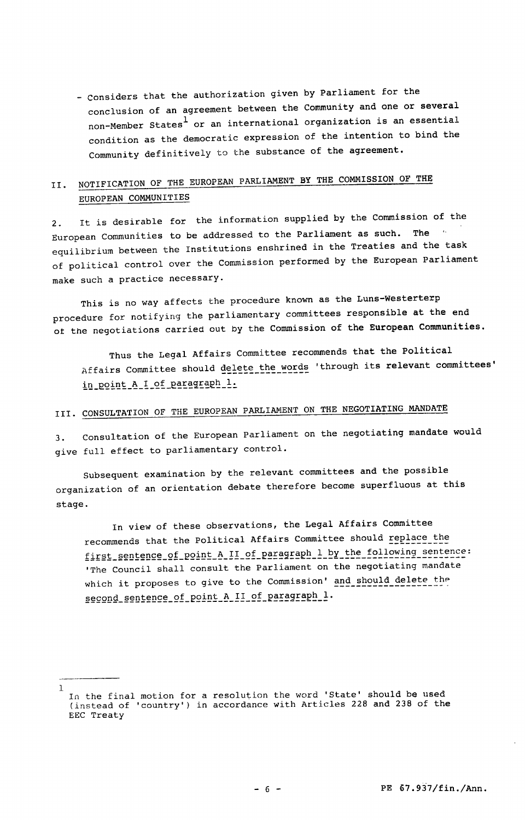- Considers that the authorization given by Parliament for the conclusion of an agreement between the Community and one or several non-Member States<sup>1</sup> or an international organization is an essential condition as the democratic expression of the intention to bind the Community definitively to the substance of the agreement.

## II. NOTIFICATION OF THE EUROPEAN PARLIAMENT BY THE COMMISSION OF THE EUROPEAN COMMUNITIES

It is desirable for the information supplied by the Commission of the  $2<sup>1</sup>$ European Communities to be addressed to the Parliament as such. The " equilibrium between the Institutions enshrined in the Treaties and the task of political control over the Commission performed by the European Parliament make such a practice necessary.

This is no way affects the procedure known as the Luns-Westerterp procedure for notifying the parliamentary committees responsible at the end of the negotiations carried out by the Commission of the European Communities.

Thus the Legal Affairs Committee recommends that the Political Affairs Committee should delete the words 'through its relevant committees' in point A I of paragraph 1.

## III. CONSULTATION OF THE EUROPEAN PARLIAMENT ON THE NEGOTIATING MANDATE

Consultation of the European Parliament on the negotiating mandate would  $\overline{3}$ . give full effect to parliamentary control.

Subsequent examination by the relevant committees and the possible organization of an orientation debate therefore become superfluous at this stage.

In view of these observations, the Legal Affairs Committee recommends that the Political Affairs Committee should replace the first\_sentence\_of\_point\_A\_II\_of\_paragraph\_1\_by\_the\_following\_sentence: 'The Council shall consult the Parliament on the negotiating mandate which it proposes to give to the Commission' and should delete the second sentence of point A II of paragraph 1.

 $\mathbf{I}$ In the final motion for a resolution the word 'State' should be used<br>(instead of 'country') in accordance with Articles 228 and 238 of the EEC Treaty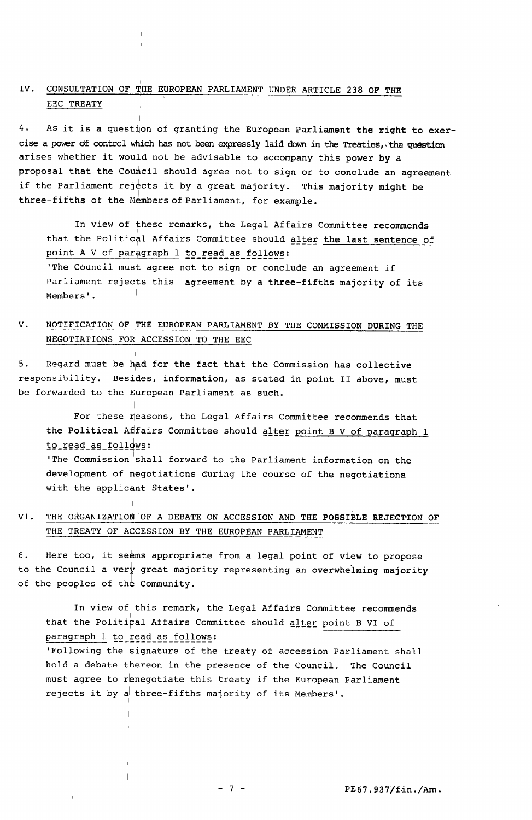#### IV. CONSULTATION OF THE EUROPEAN PARLIAMENT UNDER ARTICLE 238 OF THE EEC TREATY

As it is a question of granting the European Parliament the right to exer-4. cise a power of control which has not been expressly laid down in the Treaties, the question arises whether it would not be advisable to accompany this power by a proposal that the Council should agree not to sign or to conclude an agreement if the Parliament rejects it by a great majority. This majority might be three-fifths of the Members of Parliament, for example.

In view of these remarks, the Legal Affairs Committee recommends that the Political Affairs Committee should alter the last sentence of point A V of paragraph 1 to read as follows:

'The Council must agree not to sign or conclude an agreement if Parliament rejects this agreement by a three-fifths majority of its Members'.

#### NOTIFICATION OF THE EUROPEAN PARLIAMENT BY THE COMMISSION DURING THE V. NEGOTIATIONS FOR ACCESSION TO THE EEC

 $5.$ Regard must be had for the fact that the Commission has collective responsibility. Besides, information, as stated in point II above, must be forwarded to the European Parliament as such.

For these measons, the Legal Affairs Committee recommends that the Political Affairs Committee should alter point B V of paragraph 1 to\_read\_as\_follows:

'The Commission shall forward to the Parliament information on the development of negotiations during the course of the negotiations with the applicant States'.

#### THE ORGANIZATION OF A DEBATE ON ACCESSION AND THE POSSIBLE REJECTION OF VI. THE TREATY OF ACCESSION BY THE EUROPEAN PARLIAMENT

Here too, it seems appropriate from a legal point of view to propose 6. to the Council a very great majority representing an overwhelming majority of the peoples of the Community.

In view of this remark, the Legal Affairs Committee recommends that the Political Affairs Committee should alter point B VI of paragraph 1 to read as follows:

'Following the signature of the treaty of accession Parliament shall hold a debate thereon in the presence of the Council. The Council must agree to renegotiate this treaty if the European Parliament rejects it by a three-fifths majority of its Members'.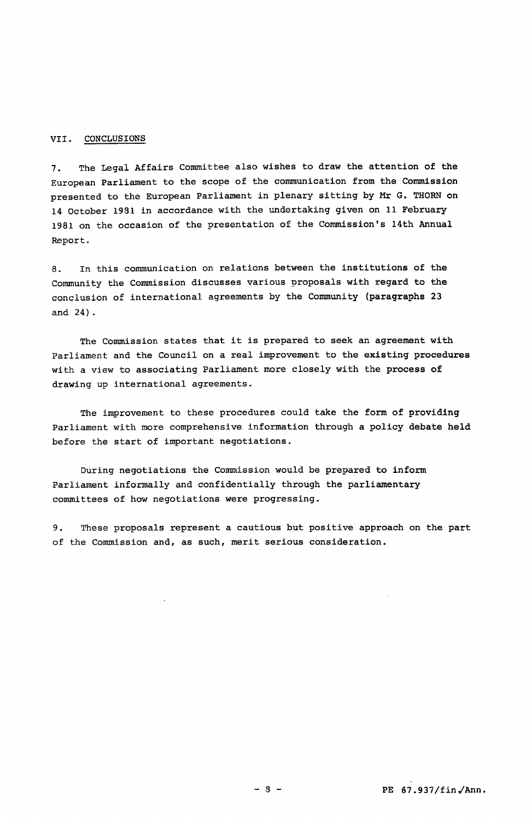#### VII. CONCLUSIONS

7. The Legal Affairs Committee also wishes to draw the attention of the European Parliament to the scope of the communication from the Commission presented to the European Parliament in plenary sitting by Mr G. THORN on 14 October 1991 ln accordance with the undertaklng given on lI February 1981 on the occasion of the presentation of the Commission's 14th Annual Report.

8. In this communication on relations between the institutions of the Community the Commission discusses various proposals with regard to the conclusion of international agreements by the Community (paragraphs 23 and 24).

The Commission states that it is prepared to seek an agreement with Parliament and the Council on a real improvement to the existing procedures with a view to assoclating Parliament more closely with the process of drawing up international agreements.

The improvement to these procedures could take the form of providing Parliament with more comprehensive information through a policy debate held before the start of important negotiations.

During negotiations the Commission would be prepared to inform Parliament informally and confidentially through the parliamentary committees of how negotiations were progressing.

9. These proposals represent a cautious but positive approach on the part of the Commission and, as such, merit serlous conslderation.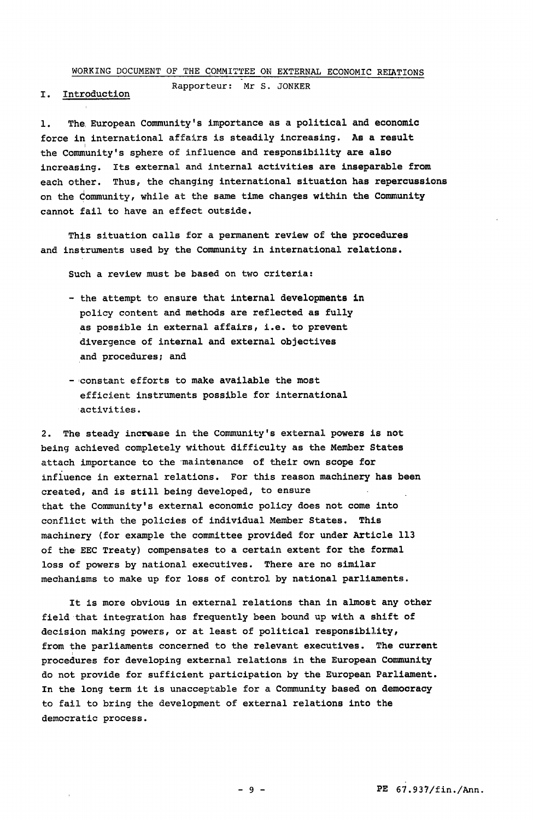WORKING DOCUMENT OF THE COMMITTEE ON EXTERNAL ECONOMIC REIATIONS

Rapporteur: Mr S. JONKER

#### I. Introduction

The European Community's importance as a political and economic  $1.$ force in international affairs is steadily increasing. As a result the Community's sphere of influence and responsibility are also Its external and internal activities are inseparable from increasing. each other. Thus, the changing international situation has repercussions on the Community, while at the same time changes within the Community cannot fail to have an effect outside.

This situation calls for a permanent review of the procedures and instruments used by the Community in international relations.

Such a review must be based on two criteria:

- the attempt to ensure that internal developments in policy content and methods are reflected as fully as possible in external affairs, i.e. to prevent divergence of internal and external objectives and procedures; and
- constant efforts to make available the most efficient instruments possible for international activities.

The steady increase in the Community's external powers is not  $2.$ being achieved completely without difficulty as the Member States attach importance to the maintenance of their own scope for influence in external relations. For this reason machinery has been created, and is still being developed, to ensure that the Community's external economic policy does not come into conflict with the policies of individual Member States. This machinery (for example the committee provided for under Article 113 of the EEC Treaty) compensates to a certain extent for the formal loss of powers by national executives. There are no similar mechanisms to make up for loss of control by national parliaments.

It is more obvious in external relations than in almost any other field that integration has frequently been bound up with a shift of decision making powers, or at least of political responsibility, from the parliaments concerned to the relevant executives. The current procedures for developing external relations in the European Community do not provide for sufficient participation by the European Parliament. In the long term it is unacceptable for a Community based on democracy to fail to bring the development of external relations into the democratic process.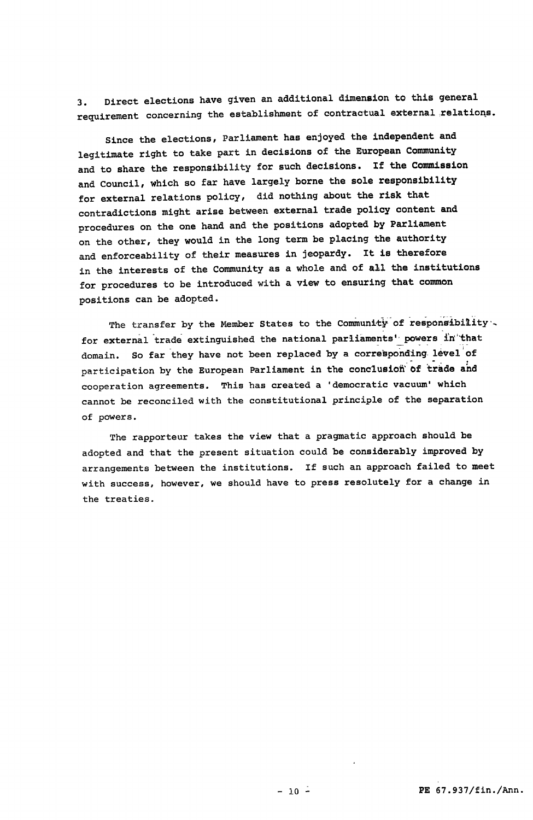Direct elections have given an additional dimension to this general  $3.$ requirement concerning the establishment of contractual external relations.

Since the elections, Parliament has enjoyed the independent and legitimate right to take part in decisions of the European Community and to share the responsibility for such decisions. If the Commission and Council, which so far have largely borne the sole responsibility for external relations policy, did nothing about the risk that contradictions might arise between external trade policy content and procedures on the one hand and the positions adopted by Parliament on the other, they would in the long term be placing the authority and enforceability of their measures in jeopardy. It is therefore in the interests of the Community as a whole and of all the institutions for procedures to be introduced with a view to ensuring that common positions can be adopted.

The transfer by the Member States to the Community of responsibility. for external trade extinguished the national parliaments' powers in that domain. So far they have not been replaced by a corresponding level of participation by the European Parliament in the conclusion of trade and cooperation agreements. This has created a 'democratic vacuum' which cannot be reconciled with the constitutional principle of the separation of powers.

The rapporteur takes the view that a pragmatic approach should be adopted and that the present situation could be considerably improved by arrangements between the institutions. If such an approach failed to meet with success, however, we should have to press resolutely for a change in the treaties.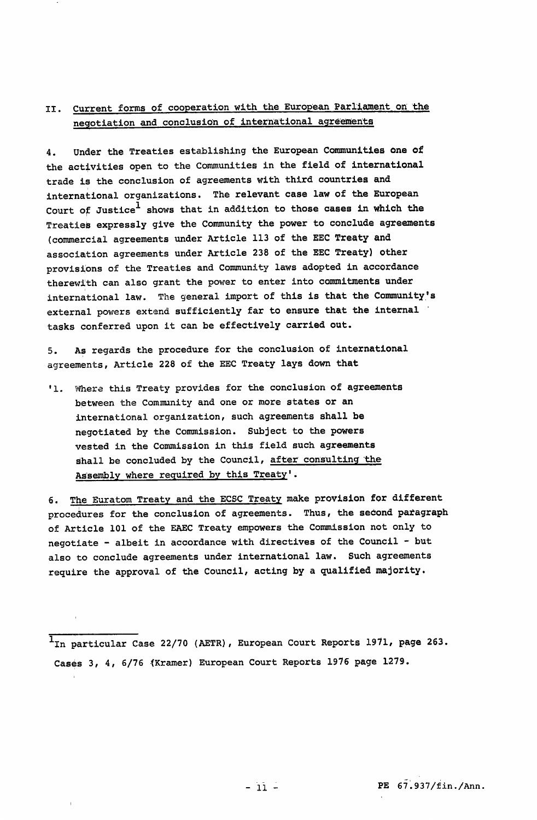### II. Current forms of cooperation with the European Parliament on the negotiation and conclusion of international agreements

Under the Treaties establishing the European Communities one of 4. the activities open to the Communities in the field of international trade is the conclusion of agreements with third countries and international organizations. The relevant case law of the European Court of Justice<sup>1</sup> shows that in addition to those cases in which the Treaties expressly give the Community the power to conclude agreements (commercial agreements under Article 113 of the EEC Treaty and association agreements under Article 238 of the EEC Treaty) other provisions of the Treaties and Community laws adopted in accordance therewith can also grant the power to enter into commitments under international law. The general import of this is that the Community's external powers extend sufficiently far to ensure that the internal tasks conferred upon it can be effectively carried out.

As regards the procedure for the conclusion of international  $5.$ agreements, Article 228 of the EEC Treaty lays down that

Where this Treaty provides for the conclusion of agreements  $1.$ between the Community and one or more states or an international organization, such agreements shall be negotiated by the Commission. Subject to the powers vested in the Commission in this field such agreements shall be concluded by the Council, after consulting the Assembly where required by this Treaty'.

6. The Euratom Treaty and the ECSC Treaty make provision for different procedures for the conclusion of agreements. Thus, the second paragraph of Article 101 of the EAEC Treaty empowers the Commission not only to negotiate - albeit in accordance with directives of the Council - but also to conclude agreements under international law. Such agreements require the approval of the Council, acting by a qualified majority.

 $1_{\text{In particular Case 22/70 (AETR)}$ , European Court Reports 1971, page 263. Cases 3, 4, 6/76 (Kramer) European Court Reports 1976 page 1279.

PE 67.937/fin./Ann.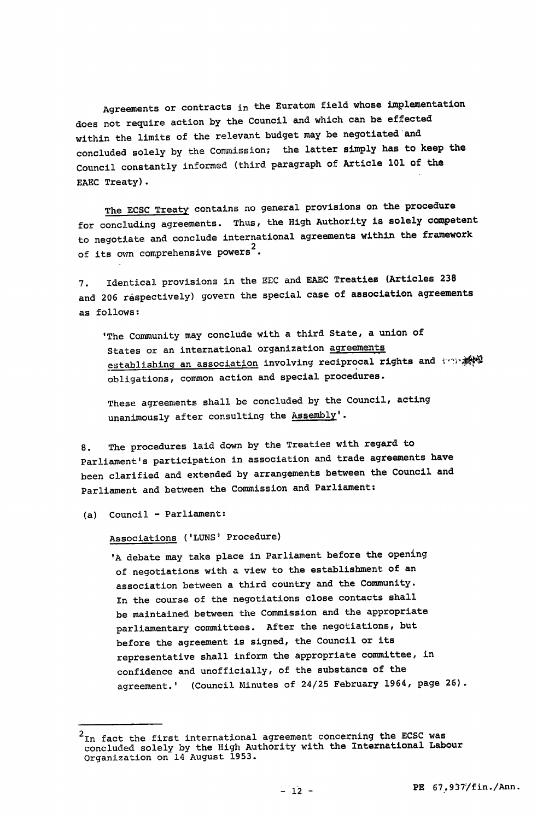Agreements or contracts in the Euratom field whose implementation does not require action by the Council and which can be effected within the limits of the relevant budget may be negotiated and concluded solely by the Commission; the latter simply has to keep the Council constantly informed (third paragraph of Article 101 of the EAEC Treaty).

The ECSC Treaty contains no general provisions on the procedure for concluding agreements. Thus, the High Authority is solely competent to negotiate and conclude international agreements within the framework of its own comprehensive powers<sup>2</sup>.

Identical provisions in the EEC and EAEC Treaties (Articles 238 7. and 206 respectively) govern the special case of association agreements as follows:

'The Community may conclude with a third State, a union of States or an international organization agreements establishing an association involving reciprocal rights and terres obligations, common action and special procedures.

These agreements shall be concluded by the Council, acting unanimously after consulting the Assembly'.

The procedures laid down by the Treaties with regard to 8. Parliament's participation in association and trade agreements have been clarified and extended by arrangements between the Council and Parliament and between the Commission and Parliament:

(a) Council - Parliament:

Associations ('LUNS' Procedure)

'A debate may take place in Parliament before the opening of negotiations with a view to the establishment of an association between a third country and the Community. In the course of the negotiations close contacts shall be maintained between the Commission and the appropriate parliamentary committees. After the negotiations, but before the agreement is signed, the Council or its representative shall inform the appropriate committee, in confidence and unofficially, of the substance of the agreement.' (Council Minutes of 24/25 February 1964, page 26).

<sup>&</sup>lt;sup>2</sup>In fact the first international agreement concerning the ECSC was concluded solely by the High Authority with the International Labour<br>Organization on 14 August 1953.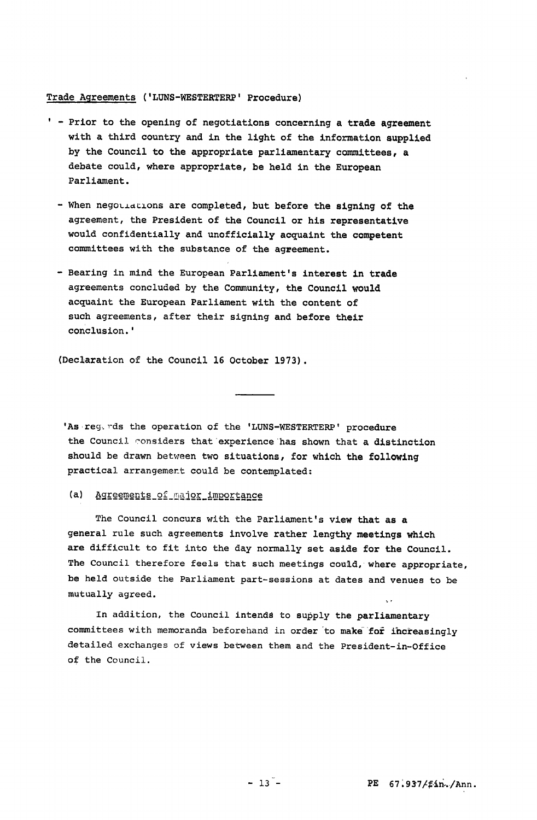Trade Agreements ('LUNS-WESTERTERP' Procedure)

- ' Prior to the opening of negotiations concerning a trade agreement with a third country and in the light of the information supplied by the Council to the appropriate parliamentary committees, a debate could, where appropriate, be held in the European Parliament.
	- When negotiations are completed, but before the signing of the agreement, the President of the Council or his representative would confidentially and unofficially acquaint the competent committees with the substance of the agreement.
	- Bearing in mind the European Parliament's interest in trade agreements concluded by the Community, the Council would acquaint the European Parliament with the content of such agreements, after their signing and before their conclusion.'

(Declaration of the Council 16 October 1973).

'As regards the operation of the 'LUNS-WESTERTERP' procedure the Council considers that experience has shown that a distinction should be drawn between two situations, for which the following practical arrangement could be contemplated:

(a) Agreements of major importance

The Council concurs with the Parliament's view that as a general rule such agreements involve rather lengthy meetings which are difficult to fit into the day normally set aside for the Council. The Council therefore feels that such meetings could, where appropriate, be held outside the Parliament part-sessions at dates and venues to be mutually agreed.

In addition, the Council intends to supply the parliamentary committees with memoranda beforehand in order to make for increasingly detailed exchanges of views between them and the President-in-Office of the Council.

 $-13^{-}$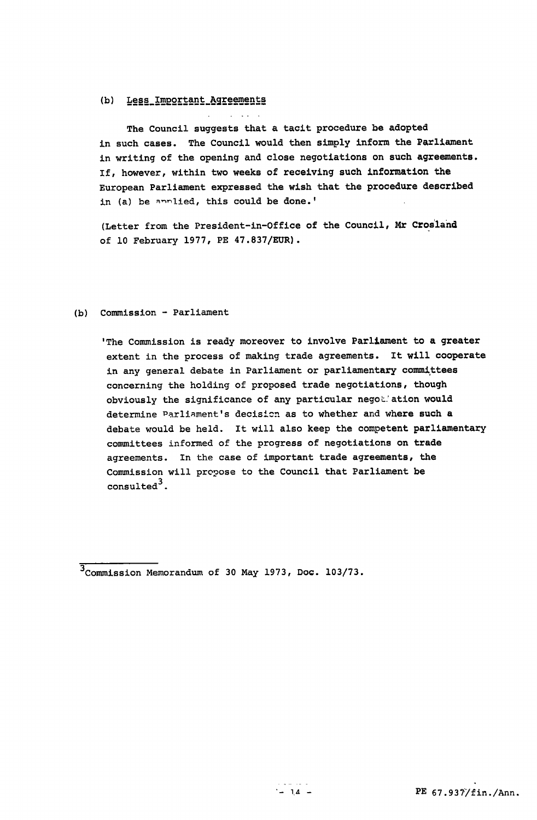#### (b) Less\_Important\_Agreements

The Council suggests that a tacit procedure be adopted in such cases. The Council would then simply inform the Parliament in writing of the opening and close negotiations on such agreements. If, however, within two weeks of receiving such information the European Parliament expressed the wish that the procedure described in (a) be annlied, this could be done.'

 $\mathcal{L}^{\text{max}}$  ,  $\mathcal{L}^{\text{max}}$  ,  $\mathcal{L}^{\text{max}}$ 

(Letter from the President-in-Office of the Council, Mr Crosland of 10 February 1977, PE 47.837/EUR).

#### (b) Commission - Parliament

'The Commission is ready moreover to involve Parliament to a greater extent in the process of making trade agreements. It will cooperate in any general debate in Parliament or parliamentary committees concerning the holding of proposed trade negotiations, though obviously the significance of any particular negotlation would determine Parliament's decision as to whether and where such a debate would be held. It will also keep the competent parliamentary committees informed of the progress of negotiations on trade agreements. In the case of important trade agreements, the Commission will propose to the Council that Parliament be  $const1$   $ted^3$ .

<sup>3</sup>Commission Memorandum of 30 May 1973, Doc. 103/73.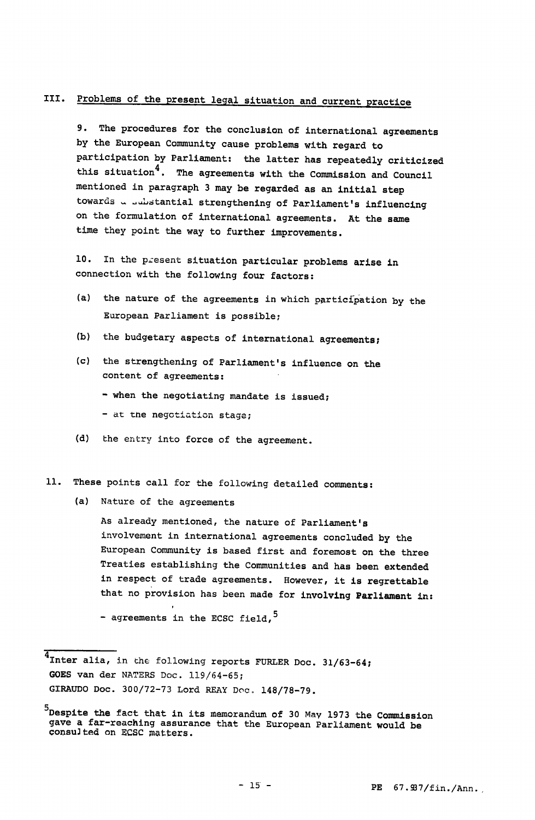#### Problems of the present legal situation and current practice III.

The procedures for the conclusion of international agreements 9. by the European Community cause problems with regard to participation by Parliament: the latter has repeatedly criticized this situation<sup>4</sup>. The agreements with the Commission and Council mentioned in paragraph 3 may be regarded as an initial step towards a substantial strengthening of Parliament's influencing on the formulation of international agreements. At the same time they point the way to further improvements.

In the present situation particular problems arise in  $10.$ connection with the following four factors:

- the nature of the agreements in which participation by the  $(a)$ European Parliament is possible;
- the budgetary aspects of international agreements;  $(b)$
- the strengthening of Parliament's influence on the  $(c)$ content of agreements:
	- when the negotiating mandate is issued;
	- at the negotiation stage;
- (d) the entry into force of the agreement.

#### These points call for the following detailed comments: 11.

(a) Nature of the agreements

As already mentioned, the nature of Parliament's involvement in international agreements concluded by the European Community is based first and foremost on the three Treaties establishing the Communities and has been extended in respect of trade agreements. However, it is regrettable that no provision has been made for involving Parliament in:

- agreements in the ECSC field, 5

Ther alia, in the following reports FURLER Doc. 31/63-64; GOES van der NATERS Doc. 119/64-65; GIRAUDO Doc. 300/72-73 Lord REAY Doc. 148/78-79.

<sup>5</sup> Despite the fact that in its memorandum of 30 May 1973 the Commission gave a far-reaching assurance that the European Parliament would be consulted on ECSC matters.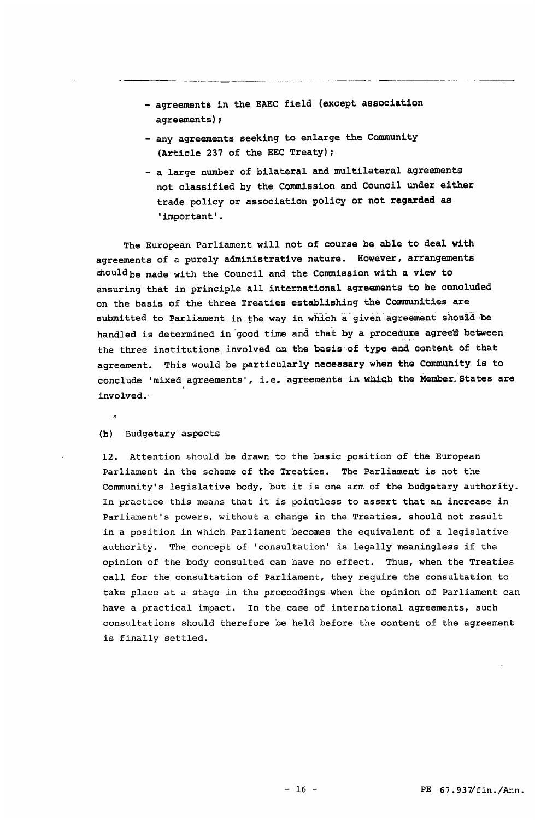- any agreements seeking to enlarge the Community (Article 237 of the EEC Treaty);
- a large number of bilateral and multilateral agreements not classified by the Commission and Council under either trade policy or association policy or not regarded as 'important'.

The European Parliament will not of course be able to deal with agreements of a purely administrative nature. However, arrangements should be made with the Council and the Commission with a view to ensuring that in principle all international agreements to be concluded on the basis of the three Treaties establishing the Communities are submitted to Parliament in the way in which a given agreement should be handled is determined in good time and that by a procedure agreed between the three institutions involved on the basis of type and content of that agreement. This would be particularly necessary when the Community is to conclude 'mixed agreements', i.e. agreements in which the Member States are involved.

#### (b) Budgetary aspects

12. Attention should be drawn to the basic position of the European Parliament in the scheme of the Treaties. The Parliament is not the Community's legislative body, but it is one arm of the budgetary authority. In practice this means that it is pointless to assert that an increase in Parliament's powers, without a change in the Treaties, should not result in a position in which Parliament becomes the equivalent of a legislative authority. The concept of 'consultation' is legally meaningless if the opinion of the body consulted can have no effect. Thus, when the Treaties call for the consultation of Parliament, they require the consultation to take place at a stage in the proceedings when the opinion of Parliament can have a practical impact. In the case of international agreements, such consultations should therefore be held before the content of the agreement is finally settled.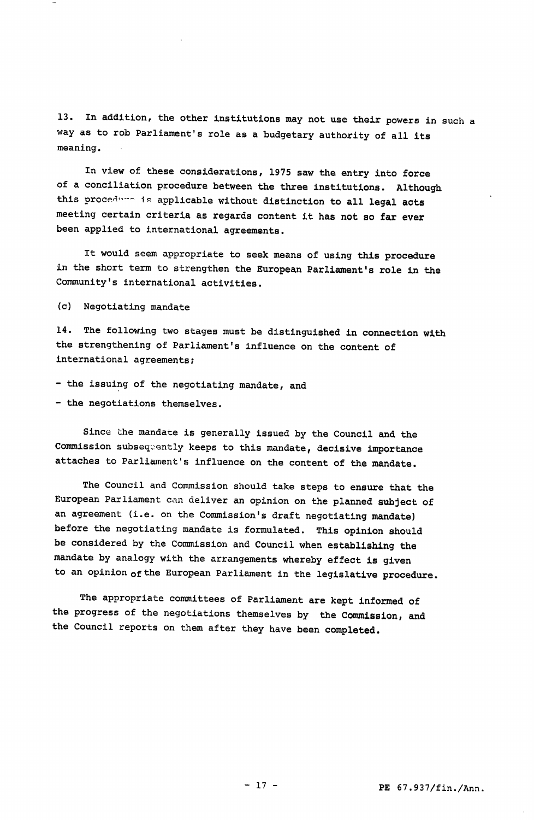13. In addition, the other institutions may not use their powers in such a way as to rob Parliament's role as a budgetary authority of all its meaning.

In view of these considerations, 1975 saw the entry into force of a conciliation procedure between the three institutions. Although this procedure is applicable without distinction to all legal acts meeting certain criteria as regards content it has not so far ever been applied to international agreements.

It would seem appropriate to seek means of using this procedure in the short term to strengthen the European Parliament's role in the Community's international activities.

(c) Negotiatlng mandate

14. The following two stages must be distinguished in connection with the strengthening of Parliament's influence on the content of international agreements;

- the issuing of the negotiating mandate, and
- the negotiations themselves.

Since the mandate is generally issued by the Council and the Commission subsequently keeps to this mandate, decisive importance attaches to Parliament's influence on the content of the mandate.

The council- and commisslon should take steps to ensure that the European Parliament can deliver an opinion on the planned subject of an agreement (i.e. on the Commission's draft negotiating mandate) before the negotiating mandate is formulated. This opinion should be considered by the Commission and Council when establishing the mandate by analogy with the arrangements whereby effect is given to an opinion  $of$  the European Parliament in the legislative procedure.

The appropriate committees of Parliament are kept informed of the progress of the negotiations themselves by the Commission, and the Council reports on them after they have been completed.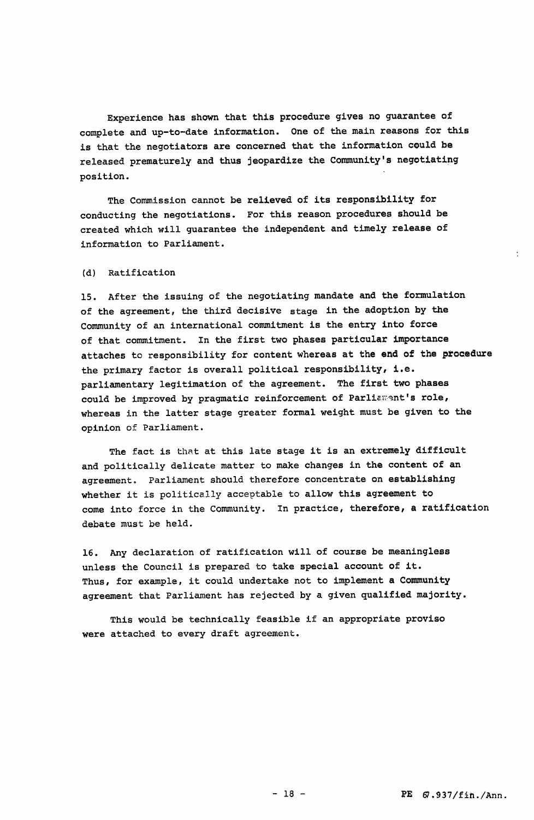Experience has shown that this procedure gives no guarantee of complete and up-to-date information. One of the main reasons for this is that the negotiators are concerned that the information could be released prematurely and thus jeopardize the Community's negotiating posltion.

The Commisslon cannot be relieved of its responslblllty for conducting the negotiations. For this reason procedures should be created which will guarantee the independent and timely release of Lnformatlon to Parliament.

#### (d) Ratification

15. After the issuing of the negotiating mandate and the formulation of the agreement, the third decisive stage in the adoption by the Community of an international commitment is the entry into force of that commitment. In the first two phases particular importance attaches to responsibility for content whereas at the end of the procedure the primary factor is overall political responsibility, i.e. parliamentary legitimation of the agreement. The first two phases could be improved by pragmatic reinforcement of Parliament's role, whereas in the latter stage greater formal welght must be glven to the opinion of Parliament.

The fact is that at this late stage it is an extremely difficult and politically delicate matter to make changes in the content of an agreement. Parliament should therefore concentrate on establishing whether it is politically acceptable to allow this agreement to come into force in the Community. In practice, therefore, a ratification debate must be held.

16. Any declaratlon of ratlficatlon wtll of course be neanlnglees unless the Council is prepared to take special account of it. Thus, for example, it could undertake not to implement a Community agreement that Parliament has rejected by a given qualified majority.

This would be technically feasible if an appropriate proviso were attached to every draft agreement.